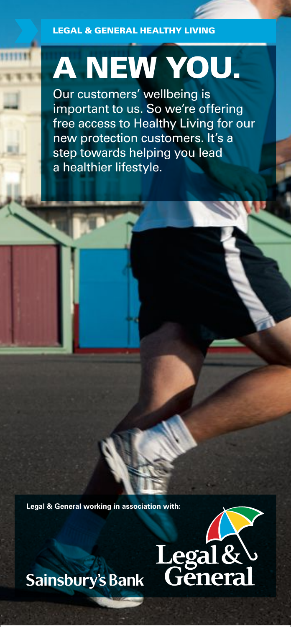## LEGAL & GENERAL HEALTHy living

**STEP** 

## a new you.

Our customers' wellbeing is important to us. So we're offering free access to Healthy Living for our new protection customers. It's a step towards helping you lead a healthier lifestyle.

**Legal & General working in association with:**



Sainsbury's Bank